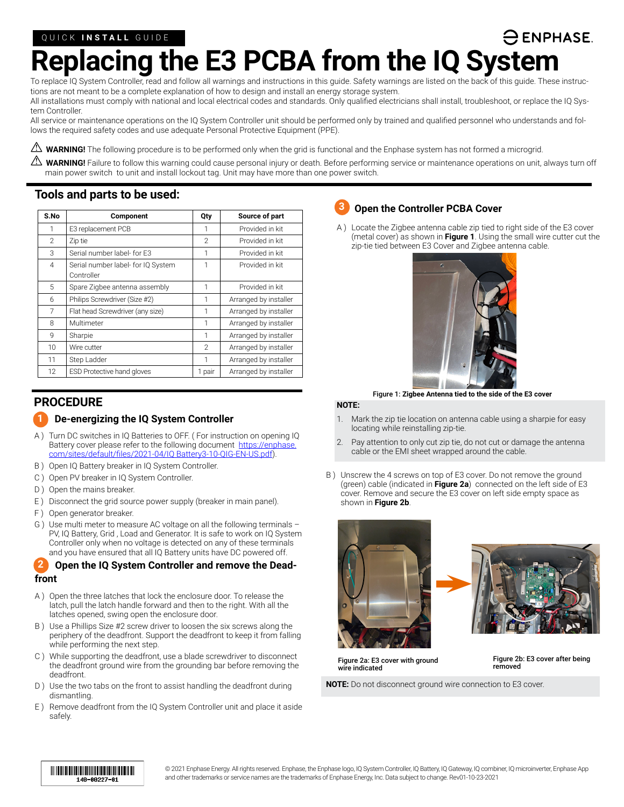# **ENPHASE. Replacing the E3 PCBA from the IQ System**

To replace IQ System Controller, read and follow all warnings and instructions in this guide. Safety warnings are listed on the back of this guide. These instructions are not meant to be a complete explanation of how to design and install an energy storage system.

All installations must comply with national and local electrical codes and standards. Only qualified electricians shall install, troubleshoot, or replace the IQ System Controller.

All service or maintenance operations on the IQ System Controller unit should be performed only by trained and qualified personnel who understands and follows the required safety codes and use adequate Personal Protective Equipment (PPE).

\* **WARNING!** The following procedure is to be performed only when the grid is functional and the Enphase system has not formed a microgrid.

 $\Delta$  WARNING! Failure to follow this warning could cause personal injury or death. Before performing service or maintenance operations on unit, always turn off main power switch to unit and install lockout tag. Unit may have more than one power switch.

**3**

### **Tools and parts to be used:**

| S.No           | Component                                        | Qty            | Source of part        |
|----------------|--------------------------------------------------|----------------|-----------------------|
| 1              | E3 replacement PCB                               | 1              | Provided in kit       |
| $\mathfrak{D}$ | Zip tie                                          | $\mathfrak{D}$ | Provided in kit       |
| 3              | Serial number label- for E3                      | 1              | Provided in kit       |
| $\overline{4}$ | Serial number label- for IQ System<br>Controller | 1              | Provided in kit       |
| 5              | Spare Zigbee antenna assembly                    | 1              | Provided in kit       |
| 6              | Philips Screwdriver (Size #2)                    | 1              | Arranged by installer |
| 7              | Flat head Screwdriver (any size)                 | 1              | Arranged by installer |
| 8              | Multimeter                                       | 1              | Arranged by installer |
| 9              | Sharpie                                          | 1              | Arranged by installer |
| 10             | Wire cutter                                      | $\mathcal{P}$  | Arranged by installer |
| 11             | Step Ladder                                      | 1              | Arranged by installer |
| 12             | <b>ESD Protective hand gloves</b>                | 1 pair         | Arranged by installer |

## **PROCEDURE**

### **1** De-energizing the IQ System Controller

- A ) Turn DC switches in IQ Batteries to OFF. ( For instruction on opening IQ Battery cover please refer to the following document [https://enphase.](https://enphase.com/sites/default/files/2021-04/Encharge3-10-QIG-EN-US.pdf) [com/sites/default/files/2021-04/IQ Battery3-10-QIG-EN-US.pdf](https://enphase.com/sites/default/files/2021-04/Encharge3-10-QIG-EN-US.pdf)).
- B ) Open IQ Battery breaker in IQ System Controller.
- C ) Open PV breaker in IQ System Controller.
- D ) Open the mains breaker.
- E ) Disconnect the grid source power supply (breaker in main panel).
- F ) Open generator breaker.
- G ) Use multi meter to measure AC voltage on all the following terminals PV, IQ Battery, Grid , Load and Generator. It is safe to work on IQ System Controller only when no voltage is detected on any of these terminals and you have ensured that all IQ Battery units have DC powered off.

#### **Open the IQ System Controller and remove the Deadfront 2**

- A ) Open the three latches that lock the enclosure door. To release the latch, pull the latch handle forward and then to the right. With all the latches opened, swing open the enclosure door.
- B ) Use a Phillips Size #2 screw driver to loosen the six screws along the periphery of the deadfront. Support the deadfront to keep it from falling while performing the next step.
- C ) While supporting the deadfront, use a blade screwdriver to disconnect the deadfront ground wire from the grounding bar before removing the deadfront.
- D ) Use the two tabs on the front to assist handling the deadfront during dismantling.
- E ) Remove deadfront from the IQ System Controller unit and place it aside safely.

### **Open the Controller PCBA Cover**

A ) Locate the Zigbee antenna cable zip tied to right side of the E3 cover (metal cover) as shown in **Figure 1**. Using the small wire cutter cut the zip-tie tied between E3 Cover and Zigbee antenna cable.



Figure 1: **Zigbee Antenna tied to the side of the E3 cover**

### **NOTE:**

- 1. Mark the zip tie location on antenna cable using a sharpie for easy locating while reinstalling zip-tie.
- 2. Pay attention to only cut zip tie, do not cut or damage the antenna cable or the EMI sheet wrapped around the cable.
- B ) Unscrew the 4 screws on top of E3 cover. Do not remove the ground (green) cable (indicated in **Figure 2a**) connected on the left side of E3 cover. Remove and secure the E3 cover on left side empty space as shown in **Figure 2b**.





Figure 2a: E3 cover with ground wire indicated

Figure 2b: E3 cover after being removed

**NOTE:** Do not disconnect ground wire connection to E3 cover.

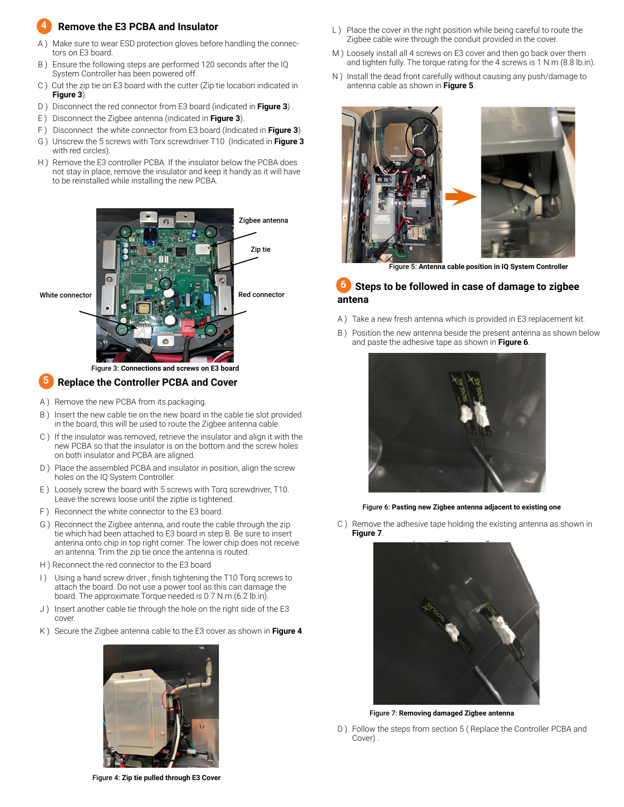#### **Remove the E3 PCBA and Insulator 4**

- A ) Make sure to wear ESD protection gloves before handling the connectors on E3 board.
- B ) Ensure the following steps are performed 120 seconds after the IQ System Controller has been powered off.
- C ) Cut the zip tie on E3 board with the cutter (Zip tie location indicated in **Figure 3**).
- D ) Disconnect the red connector from E3 board (indicated in **Figure 3**) .
- E ) Disconnect the Zigbee antenna (indicated in **Figure 3**).
- F ) Disconnect the white connector from E3 board (Indicated in **Figure 3**)
- G ) Unscrew the 5 screws with Torx screwdriver T10 (Indicated in **Figure 3**  with red circles).
- H ) Remove the E3 controller PCBA. If the insulator below the PCBA does not stay in place, remove the insulator and keep it handy as it will have to be reinstalled while installing the new PCBA.



### Figure 3: **Connections and screws on E3 board**

#### **Replace the Controller PCBA and Cover 5**

- A ) Remove the new PCBA from its packaging.
- B ) Insert the new cable tie on the new board in the cable tie slot provided in the board, this will be used to route the Zigbee antenna cable.
- C ) If the insulator was removed, retrieve the insulator and align it with the new PCBA so that the insulator is on the bottom and the screw holes on both insulator and PCBA are aligned.
- D ) Place the assembled PCBA and insulator in position, align the screw holes on the IQ System Controller.
- E ) Loosely screw the board with 5 screws with Torq screwdriver, T10. Leave the screws loose until the ziptie is tightened.
- F ) Reconnect the white connector to the E3 board.
- G ) Reconnect the Zigbee antenna, and route the cable through the zip tie which had been attached to E3 board in step B. Be sure to insert antenna onto chip in top right corner. The lower chip does not receive an antenna. Trim the zip tie once the antenna is routed.
- H ) Reconnect the red connector to the E3 board
- I) Using a hand screw driver, finish tightening the T10 Torq screws to attach the board. Do not use a power tool as this can damage the board. The approximate Torque needed is 0.7 N.m (6.2 lb.in).
- J) Insert another cable tie through the hole on the right side of the E3 cover.
- K ) Secure the Zigbee antenna cable to the E3 cover as shown in **Figure 4**.



Figure 4: **Zip tie pulled through E3 Cover**

- L) Place the cover in the right position while being careful to route the Zigbee cable wire through the conduit provided in the cover.
- M ) Loosely install all 4 screws on E3 cover and then go back over them and tighten fully. The torque rating for the 4 screws is 1 N.m (8.8 lb.in).
- N ) Install the dead front carefully without causing any push/damage to antenna cable as shown in **Figure 5**.



Figure 5: **Antenna cable position in IQ System Controller**

#### **Steps to be followed in case of damage to zigbee antena 6**

- A ) Take a new fresh antenna which is provided in E3 replacement kit.
- B ) Position the new antenna beside the present antenna as shown below and paste the adhesive tape as shown in **Figure 6**.



Figure 6: **Pasting new Zigbee antenna adjacent to existing one**

C ) Remove the adhesive tape holding the existing antenna as shown in **Figure 7**.



Figure 7: **Removing damaged Zigbee antenna**

D ) Follow the steps from section 5 (Replace the Controller PCBA and Cover) .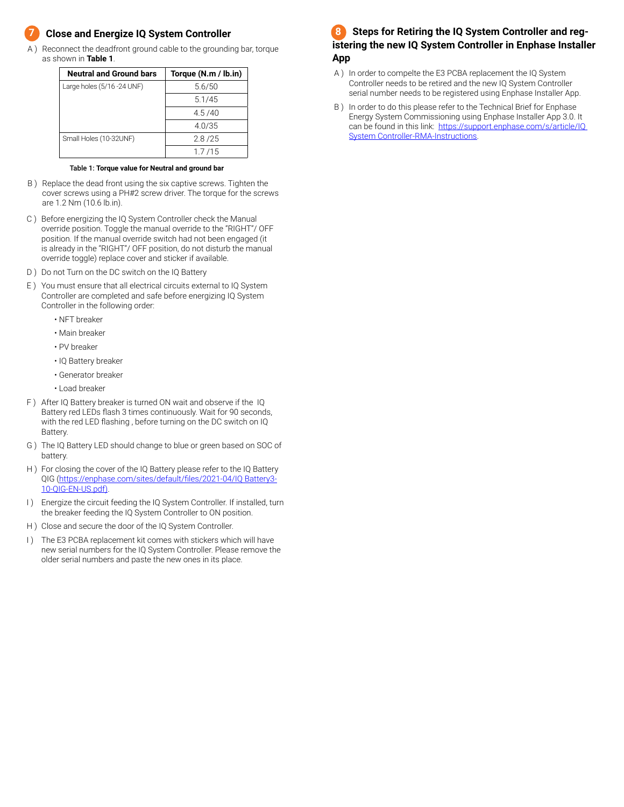### **Close and Energize IQ System Controller 7**

A ) Reconnect the deadfront ground cable to the grounding bar, torque as shown in **Table 1**.

| <b>Neutral and Ground bars</b> | Torque (N.m / lb.in) |
|--------------------------------|----------------------|
| Large holes (5/16 -24 UNF)     | 5.6/50               |
|                                | 5.1/45               |
|                                | 4.5/40               |
|                                | 4.0/35               |
| Small Holes (10-32UNF)         | 2.8/25               |
|                                | 1.7/15               |

### Table 1: **Torque value for Neutral and ground bar**

- B ) Replace the dead front using the six captive screws. Tighten the cover screws using a PH#2 screw driver. The torque for the screws are 1.2 Nm (10.6 lb.in).
- C ) Before energizing the IQ System Controller check the Manual override position. Toggle the manual override to the "RIGHT"/ OFF position. If the manual override switch had not been engaged (it is already in the "RIGHT"/ OFF position, do not disturb the manual override toggle) replace cover and sticker if available.
- D ) Do not Turn on the DC switch on the IQ Battery
- E ) You must ensure that all electrical circuits external to IQ System Controller are completed and safe before energizing IQ System Controller in the following order:
	- NFT breaker
	- Main breaker
	- PV breaker
	- IQ Battery breaker
	- Generator breaker
	- Load breaker
- F ) After IQ Battery breaker is turned ON wait and observe if the IQ Battery red LEDs flash 3 times continuously. Wait for 90 seconds, with the red LED flashing , before turning on the DC switch on IQ Battery.
- G ) The IQ Battery LED should change to blue or green based on SOC of battery.
- H ) For closing the cover of the IQ Battery please refer to the IQ Battery QIG ([https://enphase.com/sites/default/files/2021-04/IQ Battery3-](https://enphase.com/sites/default/files/2021-04/Encharge3-10-QIG-EN-US.pdf)) [10-QIG-EN-US.pdf\)](https://enphase.com/sites/default/files/2021-04/Encharge3-10-QIG-EN-US.pdf)).
- I) Energize the circuit feeding the IQ System Controller. If installed, turn the breaker feeding the IQ System Controller to ON position.
- H ) Close and secure the door of the IQ System Controller.
- I) The E3 PCBA replacement kit comes with stickers which will have new serial numbers for the IQ System Controller. Please remove the older serial numbers and paste the new ones in its place.

#### **Steps for Retiring the IQ System Controller and registering the new IQ System Controller in Enphase Installer App 8**

- A ) In order to compelte the E3 PCBA replacement the IQ System Controller needs to be retired and the new IQ System Controller serial number needs to be registered using Enphase Installer App.
- B ) In order to do this please refer to the Technical Brief for Enphase Energy System Commissioning using Enphase Installer App 3.0. It can be found in this link: https://support.enphase.com/s/article/IQ System Controller-RMA-Instructions.